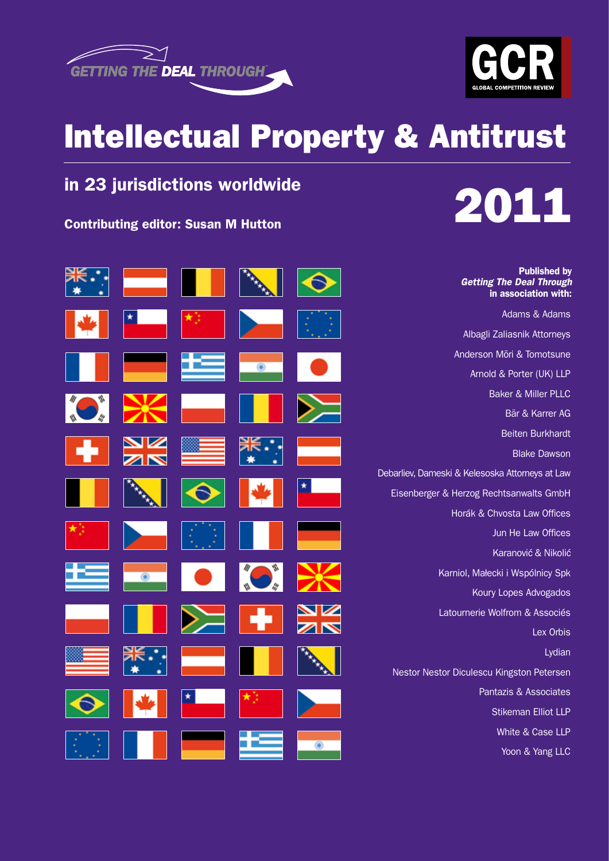



## Intellectual Property & Antitrust

## in 23 jurisdictions worldwide





Published by

*Getting The Deal Through* in association with: Adams & Adams Albagli Zaliasnik Attorneys Anderson Mōri & Tomotsune Arnold & Porter (UK) LLP Baker & Miller PLLC Bär & Karrer AG Beiten Burkhardt Blake Dawson Debarliev, Dameski & Kelesoska Attorneys at Law Eisenberger & Herzog Rechtsanwalts GmbH Horák & Chvosta Law Offices Jun He Law Offices Karanović & Nikolić Karniol, Małecki i Wspólnicy Spk Koury Lopes Advogados Latournerie Wolfrom & Associés Lex Orbis Lydian Nestor Nestor Diculescu Kingston Petersen Pantazis & Associates Stikeman Elliot LLP White & Case LLP

Yoon & Yang LLC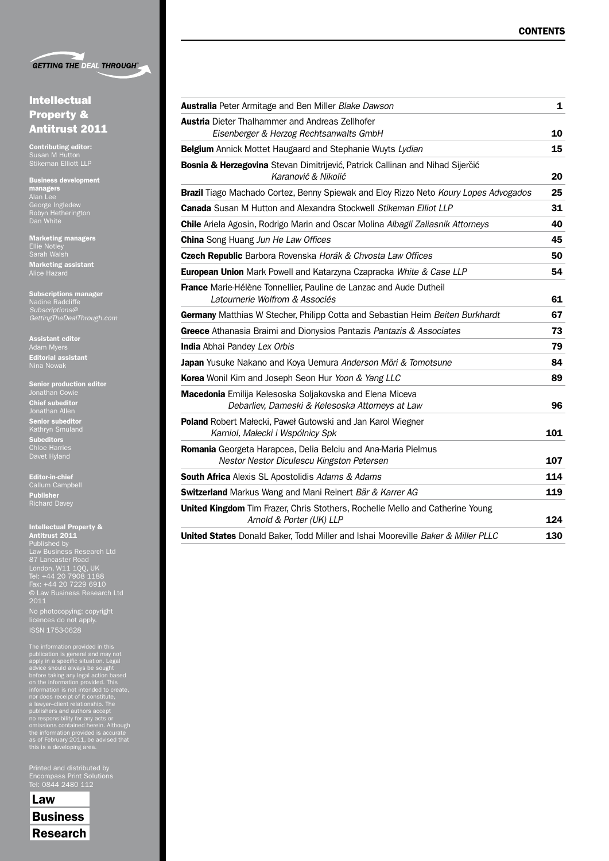

#### Intellectual Property & Antitrust 2011

Contributing editor: Susan M Hutton Stikeman Elliott LLP

Business development managers George Ingledew Robyn Hetherington Dan White

Marketing managers Sarah Walsh Marketing assistant Alice Hazard

Subscriptions manager Nadine Radcliffe *Subscriptions@ GettingTheDealThrough.com*

Assistant editor Adam Myers Editorial assistant Nina Nowak

Senior production editor Jonathan Cowie

Chief subeditor Jonathan Allen Senior subeditor Kathryn Smuland Subeditors Chloe Harries Davet Hyland

Editor-in-chief Callum Campbell Publisher Richard Davey

#### Intellectual Property &

Antitrust 2011 Published by Law Business Research Ltd London, W11 1QQ, UK Tel: +44 20 7908 1188 Fax: +44 20 7229 6910 © Law Business Research Ltd 2011

No photocopying: copyright licences do not apply. ISSN 1753-0628

The information provided in this<br>publication is general and may not<br>paply in a specific situation. Legal<br>advice should always be sought<br>before taking any legal action based<br>on the information provided. This<br>information is

Printed and distributed by Tel: 0844 2480 112

Law **Business** Research

| <b>Australia</b> Peter Armitage and Ben Miller Blake Dawson                                                 | 1   |
|-------------------------------------------------------------------------------------------------------------|-----|
| <b>Austria</b> Dieter Thalhammer and Andreas Zellhofer                                                      |     |
| Eisenberger & Herzog Rechtsanwalts GmbH                                                                     | 10  |
| Belgium Annick Mottet Haugaard and Stephanie Wuyts Lydian                                                   | 15  |
| Bosnia & Herzegovina Stevan Dimitrijević, Patrick Callinan and Nihad Sijerčić<br>Karanović & Nikolić        | 20  |
| Brazil Tiago Machado Cortez, Benny Spiewak and Eloy Rizzo Neto Koury Lopes Advogados                        | 25  |
| Canada Susan M Hutton and Alexandra Stockwell Stikeman Elliot LLP                                           | 31  |
| <b>Chile</b> Ariela Agosin, Rodrigo Marin and Oscar Molina Albagli Zaliasnik Attorneys                      | 40  |
| <b>China</b> Song Huang Jun He Law Offices                                                                  | 45  |
| Czech Republic Barbora Rovenska Horák & Chvosta Law Offices                                                 | 50  |
| European Union Mark Powell and Katarzyna Czapracka White & Case LLP                                         | 54  |
| France Marie-Hélène Tonnellier, Pauline de Lanzac and Aude Dutheil<br>Latournerie Wolfrom & Associés        | 61  |
| Germany Matthias W Stecher, Philipp Cotta and Sebastian Heim Beiten Burkhardt                               | 67  |
| Greece Athanasia Braimi and Dionysios Pantazis Pantazis & Associates                                        | 73  |
| <b>India</b> Abhai Pandey Lex Orbis                                                                         | 79  |
| Japan Yusuke Nakano and Koya Uemura Anderson Mori & Tomotsune                                               | 84  |
| Korea Wonil Kim and Joseph Seon Hur Yoon & Yang LLC                                                         | 89  |
| Macedonia Emilija Kelesoska Soljakovska and Elena Miceva<br>Debarliev, Dameski & Kelesoska Attorneys at Law | 96  |
| Poland Robert Małecki, Paweł Gutowski and Jan Karol Wiegner<br>Karniol, Małecki i Wspólnicy Spk             | 101 |
| Romania Georgeta Harapcea, Delia Belciu and Ana-Maria Pielmus<br>Nestor Nestor Diculescu Kingston Petersen  | 107 |
| South Africa Alexis SL Apostolidis Adams & Adams                                                            | 114 |
| Switzerland Markus Wang and Mani Reinert Bär & Karrer AG                                                    | 119 |
| United Kingdom Tim Frazer, Chris Stothers, Rochelle Mello and Catherine Young<br>Arnold & Porter (UK) LLP   | 124 |
| United States Donald Baker, Todd Miller and Ishai Mooreville Baker & Miller PLLC                            | 130 |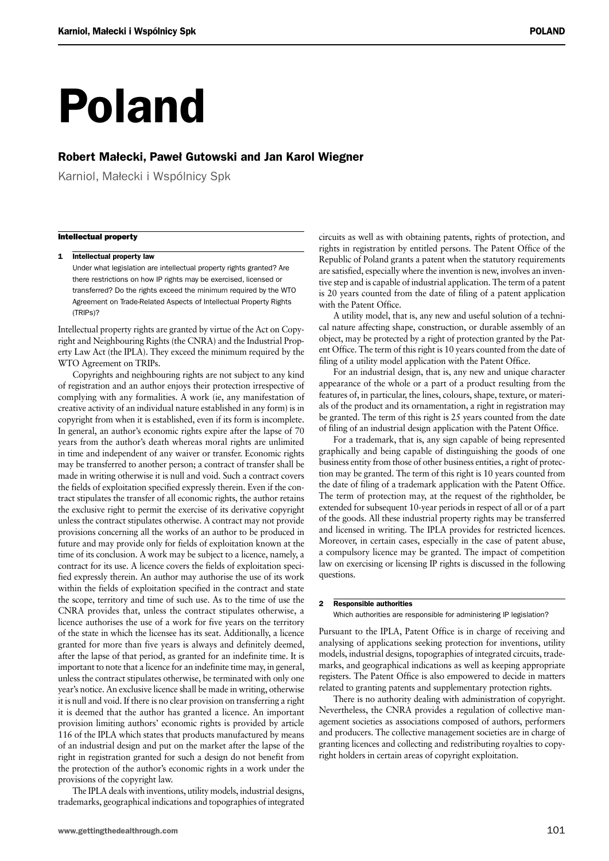# Poland

#### Robert Małecki, Paweł Gutowski and Jan Karol Wiegner

Karniol, Małecki i Wspólnicy Spk

#### Intellectual property

1 Intellectual property law

Under what legislation are intellectual property rights granted? Are there restrictions on how IP rights may be exercised, licensed or transferred? Do the rights exceed the minimum required by the WTO Agreement on Trade-Related Aspects of Intellectual Property Rights (TRIPs)?

Intellectual property rights are granted by virtue of the Act on Copyright and Neighbouring Rights (the CNRA) and the Industrial Property Law Act (the IPLA). They exceed the minimum required by the WTO Agreement on TRIPs.

Copyrights and neighbouring rights are not subject to any kind of registration and an author enjoys their protection irrespective of complying with any formalities. A work (ie, any manifestation of creative activity of an individual nature established in any form) is in copyright from when it is established, even if its form is incomplete. In general, an author's economic rights expire after the lapse of 70 years from the author's death whereas moral rights are unlimited in time and independent of any waiver or transfer. Economic rights may be transferred to another person; a contract of transfer shall be made in writing otherwise it is null and void. Such a contract covers the fields of exploitation specified expressly therein. Even if the contract stipulates the transfer of all economic rights, the author retains the exclusive right to permit the exercise of its derivative copyright unless the contract stipulates otherwise. A contract may not provide provisions concerning all the works of an author to be produced in future and may provide only for fields of exploitation known at the time of its conclusion. A work may be subject to a licence, namely, a contract for its use. A licence covers the fields of exploitation specified expressly therein. An author may authorise the use of its work within the fields of exploitation specified in the contract and state the scope, territory and time of such use. As to the time of use the CNRA provides that, unless the contract stipulates otherwise, a licence authorises the use of a work for five years on the territory of the state in which the licensee has its seat. Additionally, a licence granted for more than five years is always and definitely deemed, after the lapse of that period, as granted for an indefinite time. It is important to note that a licence for an indefinite time may, in general, unless the contract stipulates otherwise, be terminated with only one year's notice. An exclusive licence shall be made in writing, otherwise it is null and void. If there is no clear provision on transferring a right it is deemed that the author has granted a licence. An important provision limiting authors' economic rights is provided by article 116 of the IPLA which states that products manufactured by means of an industrial design and put on the market after the lapse of the right in registration granted for such a design do not benefit from the protection of the author's economic rights in a work under the provisions of the copyright law.

The IPLA deals with inventions, utility models, industrial designs, trademarks, geographical indications and topographies of integrated circuits as well as with obtaining patents, rights of protection, and rights in registration by entitled persons. The Patent Office of the Republic of Poland grants a patent when the statutory requirements are satisfied, especially where the invention is new, involves an inventive step and is capable of industrial application. The term of a patent is 20 years counted from the date of filing of a patent application with the Patent Office.

A utility model, that is, any new and useful solution of a technical nature affecting shape, construction, or durable assembly of an object, may be protected by a right of protection granted by the Patent Office. The term of this right is 10 years counted from the date of filing of a utility model application with the Patent Office.

For an industrial design, that is, any new and unique character appearance of the whole or a part of a product resulting from the features of, in particular, the lines, colours, shape, texture, or materials of the product and its ornamentation, a right in registration may be granted. The term of this right is 25 years counted from the date of filing of an industrial design application with the Patent Office.

For a trademark, that is, any sign capable of being represented graphically and being capable of distinguishing the goods of one business entity from those of other business entities, a right of protection may be granted. The term of this right is 10 years counted from the date of filing of a trademark application with the Patent Office. The term of protection may, at the request of the rightholder, be extended for subsequent 10-year periods in respect of all or of a part of the goods. All these industrial property rights may be transferred and licensed in writing. The IPLA provides for restricted licences. Moreover, in certain cases, especially in the case of patent abuse, a compulsory licence may be granted. The impact of competition law on exercising or licensing IP rights is discussed in the following questions.

#### 2 Responsible authorities

Which authorities are responsible for administering IP legislation?

Pursuant to the IPLA, Patent Office is in charge of receiving and analysing of applications seeking protection for inventions, utility models, industrial designs, topographies of integrated circuits, trademarks, and geographical indications as well as keeping appropriate registers. The Patent Office is also empowered to decide in matters related to granting patents and supplementary protection rights.

There is no authority dealing with administration of copyright. Nevertheless, the CNRA provides a regulation of collective management societies as associations composed of authors, performers and producers. The collective management societies are in charge of granting licences and collecting and redistributing royalties to copyright holders in certain areas of copyright exploitation.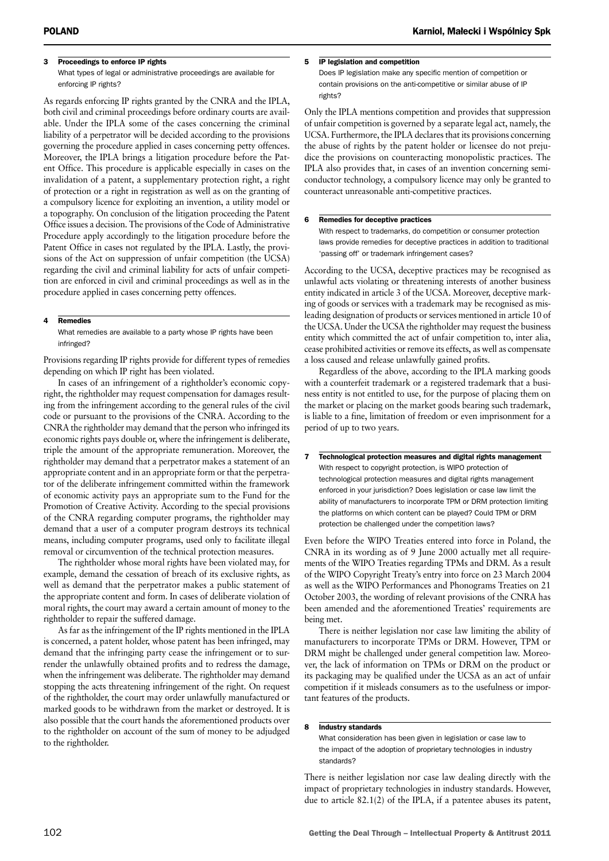#### 3 Proceedings to enforce IP rights

What types of legal or administrative proceedings are available for enforcing IP rights?

As regards enforcing IP rights granted by the CNRA and the IPLA, both civil and criminal proceedings before ordinary courts are available. Under the IPLA some of the cases concerning the criminal liability of a perpetrator will be decided according to the provisions governing the procedure applied in cases concerning petty offences. Moreover, the IPLA brings a litigation procedure before the Patent Office. This procedure is applicable especially in cases on the invalidation of a patent, a supplementary protection right, a right of protection or a right in registration as well as on the granting of a compulsory licence for exploiting an invention, a utility model or a topography. On conclusion of the litigation proceeding the Patent Office issues a decision. The provisions of the Code of Administrative Procedure apply accordingly to the litigation procedure before the Patent Office in cases not regulated by the IPLA. Lastly, the provisions of the Act on suppression of unfair competition (the UCSA) regarding the civil and criminal liability for acts of unfair competition are enforced in civil and criminal proceedings as well as in the procedure applied in cases concerning petty offences.

#### 4 Remedies

What remedies are available to a party whose IP rights have been infringed?

Provisions regarding IP rights provide for different types of remedies depending on which IP right has been violated.

In cases of an infringement of a rightholder's economic copyright, the rightholder may request compensation for damages resulting from the infringement according to the general rules of the civil code or pursuant to the provisions of the CNRA. According to the CNRA the rightholder may demand that the person who infringed its economic rights pays double or, where the infringement is deliberate, triple the amount of the appropriate remuneration. Moreover, the rightholder may demand that a perpetrator makes a statement of an appropriate content and in an appropriate form or that the perpetrator of the deliberate infringement committed within the framework of economic activity pays an appropriate sum to the Fund for the Promotion of Creative Activity. According to the special provisions of the CNRA regarding computer programs, the rightholder may demand that a user of a computer program destroys its technical means, including computer programs, used only to facilitate illegal removal or circumvention of the technical protection measures.

The rightholder whose moral rights have been violated may, for example, demand the cessation of breach of its exclusive rights, as well as demand that the perpetrator makes a public statement of the appropriate content and form. In cases of deliberate violation of moral rights, the court may award a certain amount of money to the rightholder to repair the suffered damage.

As far as the infringement of the IP rights mentioned in the IPLA is concerned, a patent holder, whose patent has been infringed, may demand that the infringing party cease the infringement or to surrender the unlawfully obtained profits and to redress the damage, when the infringement was deliberate. The rightholder may demand stopping the acts threatening infringement of the right. On request of the rightholder, the court may order unlawfully manufactured or marked goods to be withdrawn from the market or destroyed. It is also possible that the court hands the aforementioned products over to the rightholder on account of the sum of money to be adjudged to the rightholder.

#### 5 IP legislation and competition

Does IP legislation make any specific mention of competition or contain provisions on the anti-competitive or similar abuse of IP rights?

Only the IPLA mentions competition and provides that suppression of unfair competition is governed by a separate legal act, namely, the UCSA. Furthermore, the IPLA declares that its provisions concerning the abuse of rights by the patent holder or licensee do not prejudice the provisions on counteracting monopolistic practices. The IPLA also provides that, in cases of an invention concerning semiconductor technology, a compulsory licence may only be granted to counteract unreasonable anti-competitive practices.

#### 6 Remedies for deceptive practices

With respect to trademarks, do competition or consumer protection laws provide remedies for deceptive practices in addition to traditional 'passing off' or trademark infringement cases?

According to the UCSA, deceptive practices may be recognised as unlawful acts violating or threatening interests of another business entity indicated in article 3 of the UCSA. Moreover, deceptive marking of goods or services with a trademark may be recognised as misleading designation of products or services mentioned in article 10 of the UCSA. Under the UCSA the rightholder may request the business entity which committed the act of unfair competition to, inter alia, cease prohibited activities or remove its effects, as well as compensate a loss caused and release unlawfully gained profits.

Regardless of the above, according to the IPLA marking goods with a counterfeit trademark or a registered trademark that a business entity is not entitled to use, for the purpose of placing them on the market or placing on the market goods bearing such trademark, is liable to a fine, limitation of freedom or even imprisonment for a period of up to two years.

7 Technological protection measures and digital rights management With respect to copyright protection, is WIPO protection of technological protection measures and digital rights management enforced in your jurisdiction? Does legislation or case law limit the ability of manufacturers to incorporate TPM or DRM protection limiting the platforms on which content can be played? Could TPM or DRM protection be challenged under the competition laws?

Even before the WIPO Treaties entered into force in Poland, the CNRA in its wording as of 9 June 2000 actually met all requirements of the WIPO Treaties regarding TPMs and DRM. As a result of the WIPO Copyright Treaty's entry into force on 23 March 2004 as well as the WIPO Performances and Phonograms Treaties on 21 October 2003, the wording of relevant provisions of the CNRA has been amended and the aforementioned Treaties' requirements are being met.

There is neither legislation nor case law limiting the ability of manufacturers to incorporate TPMs or DRM. However, TPM or DRM might be challenged under general competition law. Moreover, the lack of information on TPMs or DRM on the product or its packaging may be qualified under the UCSA as an act of unfair competition if it misleads consumers as to the usefulness or important features of the products.

#### 8 Industry standards

What consideration has been given in legislation or case law to the impact of the adoption of proprietary technologies in industry standards?

There is neither legislation nor case law dealing directly with the impact of proprietary technologies in industry standards. However, due to article 82.1(2) of the IPLA, if a patentee abuses its patent,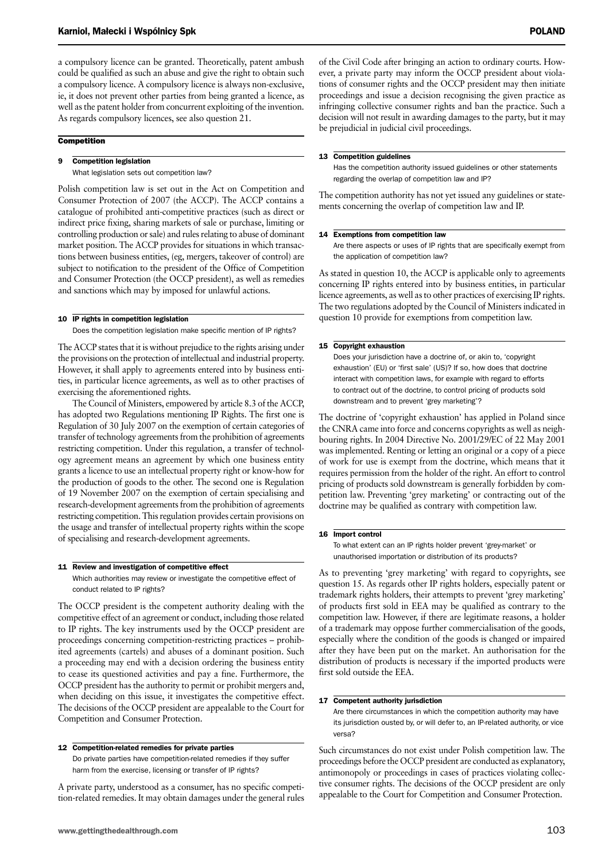a compulsory licence can be granted. Theoretically, patent ambush could be qualified as such an abuse and give the right to obtain such a compulsory licence. A compulsory licence is always non-exclusive, ie, it does not prevent other parties from being granted a licence, as well as the patent holder from concurrent exploiting of the invention. As regards compulsory licences, see also question 21.

#### **Competition**

#### 9 Competition legislation

What legislation sets out competition law?

Polish competition law is set out in the Act on Competition and Consumer Protection of 2007 (the ACCP). The ACCP contains a catalogue of prohibited anti-competitive practices (such as direct or indirect price fixing, sharing markets of sale or purchase, limiting or controlling production or sale) and rules relating to abuse of dominant market position. The ACCP provides for situations in which transactions between business entities, (eg, mergers, takeover of control) are subject to notification to the president of the Office of Competition and Consumer Protection (the OCCP president), as well as remedies and sanctions which may by imposed for unlawful actions.

#### 10 IP rights in competition legislation

Does the competition legislation make specific mention of IP rights?

The ACCP states that it is without prejudice to the rights arising under the provisions on the protection of intellectual and industrial property. However, it shall apply to agreements entered into by business entities, in particular licence agreements, as well as to other practises of exercising the aforementioned rights.

The Council of Ministers, empowered by article 8.3 of the ACCP, has adopted two Regulations mentioning IP Rights. The first one is Regulation of 30 July 2007 on the exemption of certain categories of transfer of technology agreements from the prohibition of agreements restricting competition. Under this regulation, a transfer of technology agreement means an agreement by which one business entity grants a licence to use an intellectual property right or know-how for the production of goods to the other. The second one is Regulation of 19 November 2007 on the exemption of certain specialising and research-development agreements from the prohibition of agreements restricting competition. This regulation provides certain provisions on the usage and transfer of intellectual property rights within the scope of specialising and research-development agreements.

#### 11 Review and investigation of competitive effect

Which authorities may review or investigate the competitive effect of conduct related to IP rights?

The OCCP president is the competent authority dealing with the competitive effect of an agreement or conduct, including those related to IP rights. The key instruments used by the OCCP president are proceedings concerning competition-restricting practices – prohibited agreements (cartels) and abuses of a dominant position. Such a proceeding may end with a decision ordering the business entity to cease its questioned activities and pay a fine. Furthermore, the OCCP president has the authority to permit or prohibit mergers and, when deciding on this issue, it investigates the competitive effect. The decisions of the OCCP president are appealable to the Court for Competition and Consumer Protection.

#### 12 Competition-related remedies for private parties

Do private parties have competition-related remedies if they suffer harm from the exercise, licensing or transfer of IP rights?

A private party, understood as a consumer, has no specific competition-related remedies. It may obtain damages under the general rules of the Civil Code after bringing an action to ordinary courts. However, a private party may inform the OCCP president about violations of consumer rights and the OCCP president may then initiate proceedings and issue a decision recognising the given practice as infringing collective consumer rights and ban the practice. Such a decision will not result in awarding damages to the party, but it may be prejudicial in judicial civil proceedings.

#### 13 Competition guidelines

Has the competition authority issued guidelines or other statements regarding the overlap of competition law and IP?

The competition authority has not yet issued any guidelines or statements concerning the overlap of competition law and IP.

#### 14 Exemptions from competition law

Are there aspects or uses of IP rights that are specifically exempt from the application of competition law?

As stated in question 10, the ACCP is applicable only to agreements concerning IP rights entered into by business entities, in particular licence agreements, as well as to other practices of exercising IP rights. The two regulations adopted by the Council of Ministers indicated in question 10 provide for exemptions from competition law.

#### 15 Copyright exhaustion

Does your jurisdiction have a doctrine of, or akin to, 'copyright exhaustion' (EU) or 'first sale' (US)? If so, how does that doctrine interact with competition laws, for example with regard to efforts to contract out of the doctrine, to control pricing of products sold downstream and to prevent 'grey marketing'?

The doctrine of 'copyright exhaustion' has applied in Poland since the CNRA came into force and concerns copyrights as well as neighbouring rights. In 2004 Directive No. 2001/29/EC of 22 May 2001 was implemented. Renting or letting an original or a copy of a piece of work for use is exempt from the doctrine, which means that it requires permission from the holder of the right. An effort to control pricing of products sold downstream is generally forbidden by competition law. Preventing 'grey marketing' or contracting out of the doctrine may be qualified as contrary with competition law.

#### 16 Import control

To what extent can an IP rights holder prevent 'grey-market' or unauthorised importation or distribution of its products?

As to preventing 'grey marketing' with regard to copyrights, see question 15. As regards other IP rights holders, especially patent or trademark rights holders, their attempts to prevent 'grey marketing' of products first sold in EEA may be qualified as contrary to the competition law. However, if there are legitimate reasons, a holder of a trademark may oppose further commercialisation of the goods, especially where the condition of the goods is changed or impaired after they have been put on the market. An authorisation for the distribution of products is necessary if the imported products were first sold outside the EEA.

#### 17 Competent authority jurisdiction

Are there circumstances in which the competition authority may have its jurisdiction ousted by, or will defer to, an IP-related authority, or vice versa?

Such circumstances do not exist under Polish competition law. The proceedings before the OCCP president are conducted as explanatory, antimonopoly or proceedings in cases of practices violating collective consumer rights. The decisions of the OCCP president are only appealable to the Court for Competition and Consumer Protection.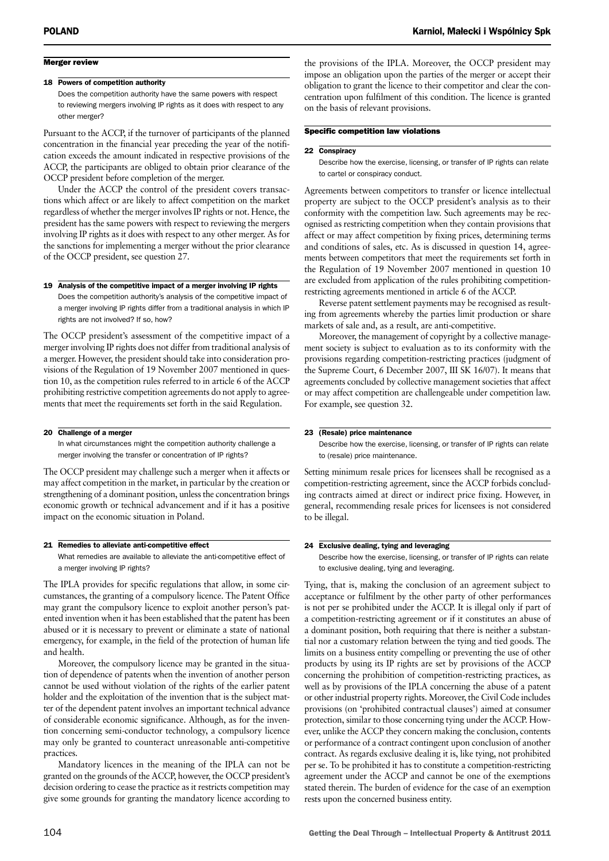#### Merger review

#### 18 Powers of competition authority

Does the competition authority have the same powers with respect to reviewing mergers involving IP rights as it does with respect to any other merger?

Pursuant to the ACCP, if the turnover of participants of the planned concentration in the financial year preceding the year of the notification exceeds the amount indicated in respective provisions of the ACCP, the participants are obliged to obtain prior clearance of the OCCP president before completion of the merger.

Under the ACCP the control of the president covers transactions which affect or are likely to affect competition on the market regardless of whether the merger involves IP rights or not. Hence, the president has the same powers with respect to reviewing the mergers involving IP rights as it does with respect to any other merger. As for the sanctions for implementing a merger without the prior clearance of the OCCP president, see question 27.

#### 19 Analysis of the competitive impact of a merger involving IP rights

Does the competition authority's analysis of the competitive impact of a merger involving IP rights differ from a traditional analysis in which IP rights are not involved? If so, how?

The OCCP president's assessment of the competitive impact of a merger involving IP rights does not differ from traditional analysis of a merger. However, the president should take into consideration provisions of the Regulation of 19 November 2007 mentioned in question 10, as the competition rules referred to in article 6 of the ACCP prohibiting restrictive competition agreements do not apply to agreements that meet the requirements set forth in the said Regulation.

#### 20 Challenge of a merger

In what circumstances might the competition authority challenge a merger involving the transfer or concentration of IP rights?

The OCCP president may challenge such a merger when it affects or may affect competition in the market, in particular by the creation or strengthening of a dominant position, unless the concentration brings economic growth or technical advancement and if it has a positive impact on the economic situation in Poland.

#### 21 Remedies to alleviate anti-competitive effect

What remedies are available to alleviate the anti-competitive effect of a merger involving IP rights?

The IPLA provides for specific regulations that allow, in some circumstances, the granting of a compulsory licence. The Patent Office may grant the compulsory licence to exploit another person's patented invention when it has been established that the patent has been abused or it is necessary to prevent or eliminate a state of national emergency, for example, in the field of the protection of human life and health.

Moreover, the compulsory licence may be granted in the situation of dependence of patents when the invention of another person cannot be used without violation of the rights of the earlier patent holder and the exploitation of the invention that is the subject matter of the dependent patent involves an important technical advance of considerable economic significance. Although, as for the invention concerning semi-conductor technology, a compulsory licence may only be granted to counteract unreasonable anti-competitive practices.

Mandatory licences in the meaning of the IPLA can not be granted on the grounds of the ACCP, however, the OCCP president's decision ordering to cease the practice as it restricts competition may give some grounds for granting the mandatory licence according to

the provisions of the IPLA. Moreover, the OCCP president may impose an obligation upon the parties of the merger or accept their obligation to grant the licence to their competitor and clear the concentration upon fulfilment of this condition. The licence is granted on the basis of relevant provisions.

#### Specific competition law violations

#### 22 Conspiracy

Describe how the exercise, licensing, or transfer of IP rights can relate to cartel or conspiracy conduct.

Agreements between competitors to transfer or licence intellectual property are subject to the OCCP president's analysis as to their conformity with the competition law. Such agreements may be recognised as restricting competition when they contain provisions that affect or may affect competition by fixing prices, determining terms and conditions of sales, etc. As is discussed in question 14, agreements between competitors that meet the requirements set forth in the Regulation of 19 November 2007 mentioned in question 10 are excluded from application of the rules prohibiting competitionrestricting agreements mentioned in article 6 of the ACCP.

Reverse patent settlement payments may be recognised as resulting from agreements whereby the parties limit production or share markets of sale and, as a result, are anti-competitive.

Moreover, the management of copyright by a collective management society is subject to evaluation as to its conformity with the provisions regarding competition-restricting practices (judgment of the Supreme Court, 6 December 2007, III SK 16/07). It means that agreements concluded by collective management societies that affect or may affect competition are challengeable under competition law. For example, see question 32.

#### 23 (Resale) price maintenance

Describe how the exercise, licensing, or transfer of IP rights can relate to (resale) price maintenance.

Setting minimum resale prices for licensees shall be recognised as a competition-restricting agreement, since the ACCP forbids concluding contracts aimed at direct or indirect price fixing. However, in general, recommending resale prices for licensees is not considered to be illegal.

#### 24 Exclusive dealing, tying and leveraging

Describe how the exercise, licensing, or transfer of IP rights can relate to exclusive dealing, tying and leveraging.

Tying, that is, making the conclusion of an agreement subject to acceptance or fulfilment by the other party of other performances is not per se prohibited under the ACCP. It is illegal only if part of a competition-restricting agreement or if it constitutes an abuse of a dominant position, both requiring that there is neither a substantial nor a customary relation between the tying and tied goods. The limits on a business entity compelling or preventing the use of other products by using its IP rights are set by provisions of the ACCP concerning the prohibition of competition-restricting practices, as well as by provisions of the IPLA concerning the abuse of a patent or other industrial property rights. Moreover, the Civil Code includes provisions (on 'prohibited contractual clauses') aimed at consumer protection, similar to those concerning tying under the ACCP. However, unlike the ACCP they concern making the conclusion, contents or performance of a contract contingent upon conclusion of another contract. As regards exclusive dealing it is, like tying, not prohibited per se. To be prohibited it has to constitute a competition-restricting agreement under the ACCP and cannot be one of the exemptions stated therein. The burden of evidence for the case of an exemption rests upon the concerned business entity.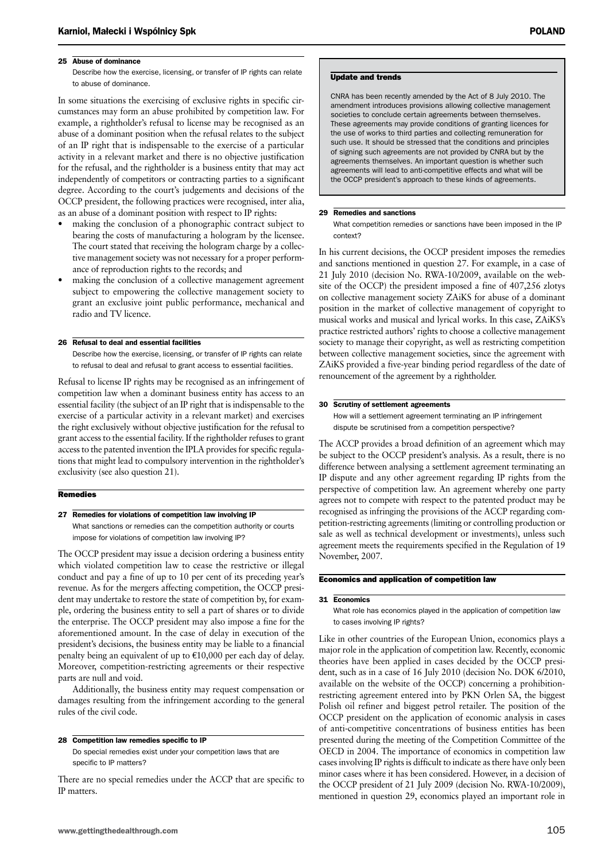#### 25 Abuse of dominance

Describe how the exercise, licensing, or transfer of IP rights can relate to abuse of dominance.

In some situations the exercising of exclusive rights in specific circumstances may form an abuse prohibited by competition law. For example, a rightholder's refusal to license may be recognised as an abuse of a dominant position when the refusal relates to the subject of an IP right that is indispensable to the exercise of a particular activity in a relevant market and there is no objective justification for the refusal, and the rightholder is a business entity that may act independently of competitors or contracting parties to a significant degree. According to the court's judgements and decisions of the OCCP president, the following practices were recognised, inter alia, as an abuse of a dominant position with respect to IP rights:

- making the conclusion of a phonographic contract subject to bearing the costs of manufacturing a hologram by the licensee. The court stated that receiving the hologram charge by a collective management society was not necessary for a proper performance of reproduction rights to the records; and
- making the conclusion of a collective management agreement subject to empowering the collective management society to grant an exclusive joint public performance, mechanical and radio and TV licence.

#### 26 Refusal to deal and essential facilities

Describe how the exercise, licensing, or transfer of IP rights can relate to refusal to deal and refusal to grant access to essential facilities.

Refusal to license IP rights may be recognised as an infringement of competition law when a dominant business entity has access to an essential facility (the subject of an IP right that is indispensable to the exercise of a particular activity in a relevant market) and exercises the right exclusively without objective justification for the refusal to grant access to the essential facility. If the rightholder refuses to grant access to the patented invention the IPLA provides for specific regulations that might lead to compulsory intervention in the rightholder's exclusivity (see also question 21).

#### **Remedies**

27 Remedies for violations of competition law involving IP

What sanctions or remedies can the competition authority or courts impose for violations of competition law involving IP?

The OCCP president may issue a decision ordering a business entity which violated competition law to cease the restrictive or illegal conduct and pay a fine of up to 10 per cent of its preceding year's revenue. As for the mergers affecting competition, the OCCP president may undertake to restore the state of competition by, for example, ordering the business entity to sell a part of shares or to divide the enterprise. The OCCP president may also impose a fine for the aforementioned amount. In the case of delay in execution of the president's decisions, the business entity may be liable to a financial penalty being an equivalent of up to  $\epsilon$ 10,000 per each day of delay. Moreover, competition-restricting agreements or their respective parts are null and void.

Additionally, the business entity may request compensation or damages resulting from the infringement according to the general rules of the civil code.

#### 28 Competition law remedies specific to IP

Do special remedies exist under your competition laws that are specific to IP matters?

There are no special remedies under the ACCP that are specific to IP matters.

#### Update and trends

CNRA has been recently amended by the Act of 8 July 2010. The amendment introduces provisions allowing collective management societies to conclude certain agreements between themselves. These agreements may provide conditions of granting licences for the use of works to third parties and collecting remuneration for such use. It should be stressed that the conditions and principles of signing such agreements are not provided by CNRA but by the agreements themselves. An important question is whether such agreements will lead to anti-competitive effects and what will be the OCCP president's approach to these kinds of agreements.

#### 29 Remedies and sanctions

What competition remedies or sanctions have been imposed in the IP context?

In his current decisions, the OCCP president imposes the remedies and sanctions mentioned in question 27. For example, in a case of 21 July 2010 (decision No. RWA-10/2009, available on the website of the OCCP) the president imposed a fine of 407,256 zlotys on collective management society ZAiKS for abuse of a dominant position in the market of collective management of copyright to musical works and musical and lyrical works. In this case, ZAiKS's practice restricted authors' rights to choose a collective management society to manage their copyright, as well as restricting competition between collective management societies, since the agreement with ZAiKS provided a five-year binding period regardless of the date of renouncement of the agreement by a rightholder.

#### 30 Scrutiny of settlement agreements

How will a settlement agreement terminating an IP infringement dispute be scrutinised from a competition perspective?

The ACCP provides a broad definition of an agreement which may be subject to the OCCP president's analysis. As a result, there is no difference between analysing a settlement agreement terminating an IP dispute and any other agreement regarding IP rights from the perspective of competition law. An agreement whereby one party agrees not to compete with respect to the patented product may be recognised as infringing the provisions of the ACCP regarding competition-restricting agreements (limiting or controlling production or sale as well as technical development or investments), unless such agreement meets the requirements specified in the Regulation of 19 November, 2007.

#### Economics and application of competition law

#### 31 Economics

What role has economics played in the application of competition law to cases involving IP rights?

Like in other countries of the European Union, economics plays a major role in the application of competition law. Recently, economic theories have been applied in cases decided by the OCCP president, such as in a case of 16 July 2010 (decision No. DOK 6/2010, available on the website of the OCCP) concerning a prohibitionrestricting agreement entered into by PKN Orlen SA, the biggest Polish oil refiner and biggest petrol retailer. The position of the OCCP president on the application of economic analysis in cases of anti-competitive concentrations of business entities has been presented during the meeting of the Competition Committee of the OECD in 2004. The importance of economics in competition law cases involving IP rights is difficult to indicate as there have only been minor cases where it has been considered. However, in a decision of the OCCP president of 21 July 2009 (decision No. RWA-10/2009), mentioned in question 29, economics played an important role in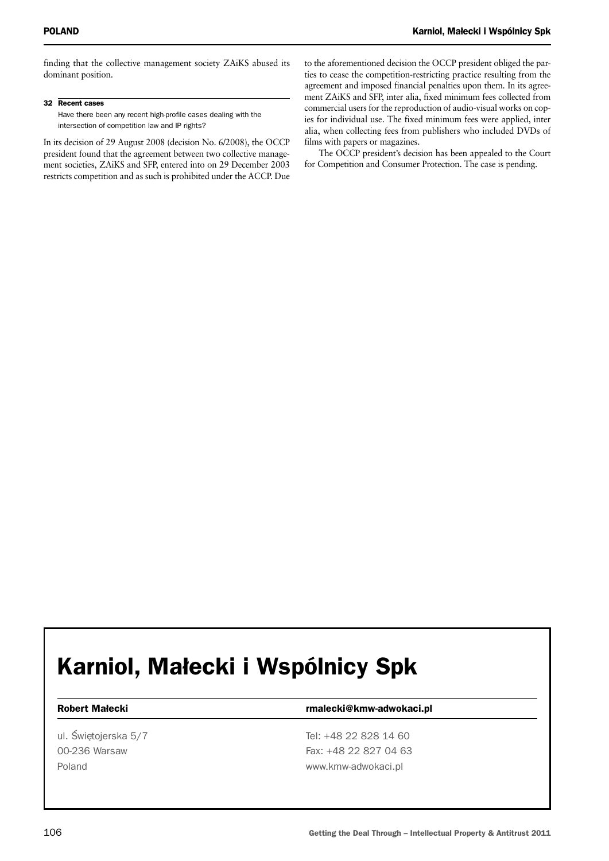finding that the collective management society ZAiKS abused its dominant position.

32 Recent cases

Have there been any recent high-profile cases dealing with the intersection of competition law and IP rights?

In its decision of 29 August 2008 (decision No. 6/2008), the OCCP president found that the agreement between two collective management societies, ZAiKS and SFP, entered into on 29 December 2003 restricts competition and as such is prohibited under the ACCP. Due to the aforementioned decision the OCCP president obliged the parties to cease the competition-restricting practice resulting from the agreement and imposed financial penalties upon them. In its agreement ZAiKS and SFP, inter alia, fixed minimum fees collected from commercial users for the reproduction of audio-visual works on copies for individual use. The fixed minimum fees were applied, inter alia, when collecting fees from publishers who included DVDs of films with papers or magazines.

The OCCP president's decision has been appealed to the Court for Competition and Consumer Protection. The case is pending.

## Karniol, Małecki i Wspólnicy Spk

ul. Świetojerska 5/7 Tel: +48 22 828 14 60

#### Robert Małecki **rmalecki** rmalecki@kmw-adwokaci.pl

00-236 Warsaw Fax: +48 22 827 04 63 Poland **www.kmw-adwokaci.pl**